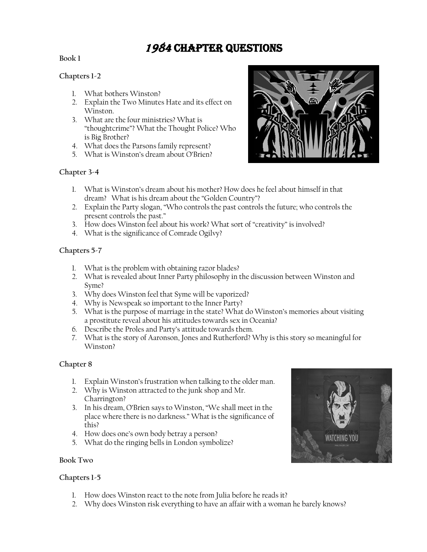# 1984 Chapter Questions

# **Book 1**

# **Chapters 1-2**

- 1. What bothers Winston?
- 2. Explain the Two Minutes Hate and its effect on Winston.
- 3. What are the four ministries? What is "thoughtcrime"? What the Thought Police? Who is Big Brother?
- 4. What does the Parsons family represent?
- 5. What is Winston's dream about O'Brien?



# **Chapter 3-4**

- 1. What is Winston's dream about his mother? How does he feel about himself in that dream? What is his dream about the "Golden Country"?
- 2. Explain the Party slogan, "Who controls the past controls the future; who controls the present controls the past."
- 3. How does Winston feel about his work? What sort of "creativity" is involved?
- 4. What is the significance of Comrade Ogilvy?

# **Chapters 5-7**

- 1. What is the problem with obtaining razor blades?
- 2. What is revealed about Inner Party philosophy in the discussion between Winston and Syme?
- 3. Why does Winston feel that Syme will be vaporized?
- 4. Why is Newspeak so important to the Inner Party?
- 5. What is the purpose of marriage in the state? What do Winston's memories about visiting a prostitute reveal about his attitudes towards sex in Oceania?
- 6. Describe the Proles and Party's attitude towards them.
- 7. What is the story of Aaronson, Jones and Rutherford? Why is this story so meaningful for Winston?

# **Chapter 8**

- 1. Explain Winston's frustration when talking to the older man.
- 2. Why is Winston attracted to the junk shop and Mr. Charrington?
- 3. In his dream, O'Brien says to Winston, "We shall meet in the place where there is no darkness." What is the significance of this?
- 4. How does one's own body betray a person?
- 5. What do the ringing bells in London symbolize?



# ATCHING YOU

# **Chapters 1-5**

- 1. How does Winston react to the note from Julia before he reads it?
- 2. Why does Winston risk everything to have an affair with a woman he barely knows?